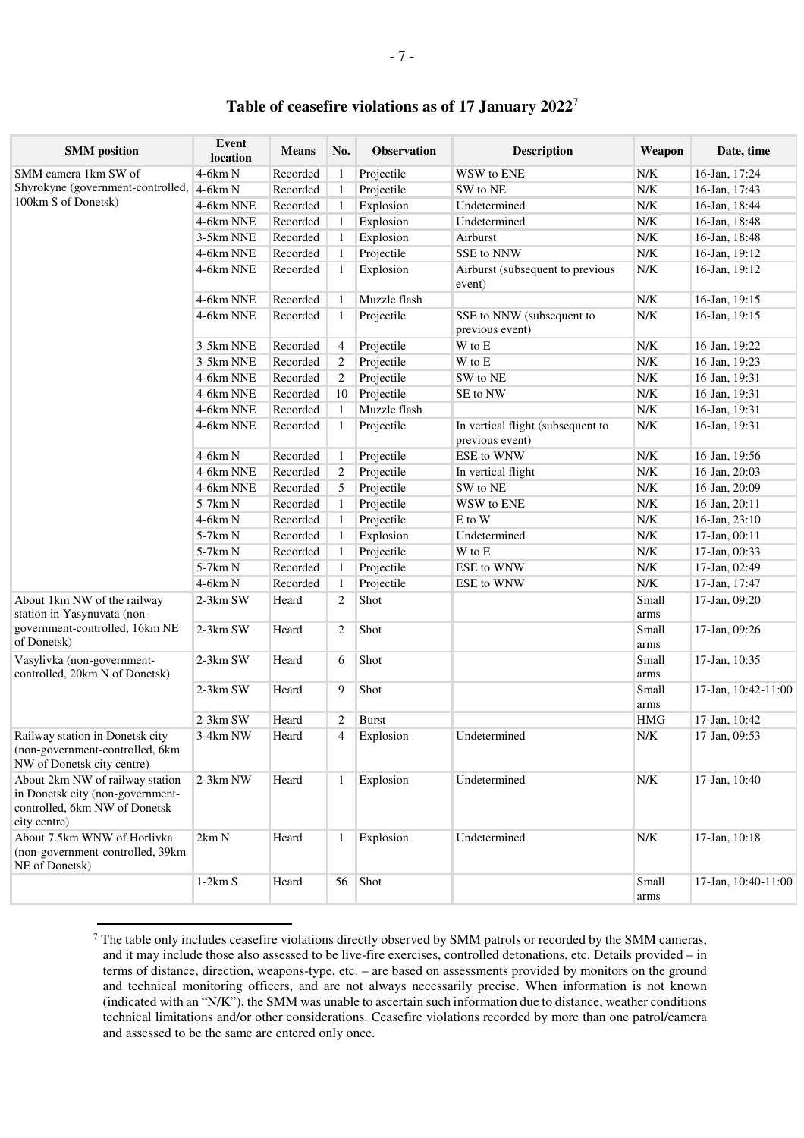## **Table of ceasefire violations as of 17 January 2022**<sup>7</sup>

| <b>SMM</b> position                                                                                                  | Event<br>location | Means    | No.            | <b>Observation</b> | <b>Description</b>                                   | Weapon                                                      | Date, time          |
|----------------------------------------------------------------------------------------------------------------------|-------------------|----------|----------------|--------------------|------------------------------------------------------|-------------------------------------------------------------|---------------------|
| SMM camera 1km SW of                                                                                                 | $4-6km N$         | Recorded | 1              | Projectile         | WSW to ENE                                           | ${\rm N/K}$                                                 | 16-Jan, 17:24       |
| Shyrokyne (government-controlled,                                                                                    | $4-6km N$         | Recorded | -1             | Projectile         | SW to NE                                             | ${\rm N/K}$                                                 | 16-Jan, 17:43       |
| 100km S of Donetsk)                                                                                                  | 4-6km NNE         | Recorded | -1             | Explosion          | Undetermined                                         | ${\rm N/K}$                                                 | 16-Jan, 18:44       |
|                                                                                                                      | 4-6km NNE         | Recorded | -1             | Explosion          | Undetermined                                         | ${\rm N/K}$                                                 | 16-Jan, 18:48       |
|                                                                                                                      | 3-5km NNE         | Recorded | -1             | Explosion          | Airburst                                             | ${\rm N/K}$                                                 | 16-Jan, 18:48       |
|                                                                                                                      | 4-6km NNE         | Recorded | -1             | Projectile         | SSE to NNW                                           | ${\rm N/K}$                                                 | 16-Jan, 19:12       |
|                                                                                                                      | 4-6km NNE         | Recorded | -1             | Explosion          | Airburst (subsequent to previous<br>event)           | ${\rm N/K}$                                                 | 16-Jan, 19:12       |
|                                                                                                                      | 4-6km NNE         | Recorded | -1             | Muzzle flash       |                                                      | ${\rm N/K}$                                                 | 16-Jan, 19:15       |
|                                                                                                                      | 4-6km NNE         | Recorded | 1              | Projectile         | SSE to NNW (subsequent to<br>previous event)         | ${\rm N/K}$                                                 | 16-Jan, 19:15       |
|                                                                                                                      | 3-5km NNE         | Recorded | $\overline{4}$ | Projectile         | W to E                                               | ${\rm N/K}$                                                 | 16-Jan, 19:22       |
|                                                                                                                      | 3-5km NNE         | Recorded | $\overline{2}$ | Projectile         | W to E                                               | ${\rm N/K}$                                                 | 16-Jan, 19:23       |
|                                                                                                                      | 4-6km NNE         | Recorded | $\overline{2}$ | Projectile         | SW to NE                                             | ${\rm N/K}$                                                 | 16-Jan, 19:31       |
|                                                                                                                      | 4-6km NNE         | Recorded | 10             | Projectile         | SE to NW                                             | ${\rm N/K}$                                                 | 16-Jan, 19:31       |
|                                                                                                                      | 4-6km NNE         | Recorded | -1             | Muzzle flash       |                                                      | ${\rm N/K}$                                                 | 16-Jan, 19:31       |
|                                                                                                                      | 4-6km NNE         | Recorded | 1              | Projectile         | In vertical flight (subsequent to<br>previous event) | ${\rm N/K}$                                                 | 16-Jan, 19:31       |
|                                                                                                                      | $4-6km N$         | Recorded | 1              | Projectile         | ESE to WNW                                           | ${\rm N/K}$                                                 | 16-Jan, 19:56       |
|                                                                                                                      | 4-6km NNE         | Recorded | $\overline{2}$ | Projectile         | In vertical flight                                   | ${\rm N/K}$                                                 | 16-Jan, 20:03       |
|                                                                                                                      | 4-6km NNE         | Recorded | 5              | Projectile         | SW to NE                                             | ${\rm N/K}$                                                 | 16-Jan, 20:09       |
|                                                                                                                      | 5-7km N           | Recorded | 1              | Projectile         | WSW to ENE                                           | ${\rm N/K}$                                                 | 16-Jan, 20:11       |
|                                                                                                                      | $4-6km N$         | Recorded | 1              | Projectile         | E to W                                               | ${\rm N/K}$                                                 | 16-Jan, 23:10       |
|                                                                                                                      | 5-7km N           | Recorded | 1              | Explosion          | Undetermined                                         | ${\rm N/K}$                                                 | 17-Jan, 00:11       |
|                                                                                                                      | 5-7km N           | Recorded | -1             | Projectile         | W to E                                               | N/K                                                         | 17-Jan, 00:33       |
|                                                                                                                      | 5-7km N           | Recorded | -1             | Projectile         | ESE to WNW                                           | N/K                                                         | 17-Jan, 02:49       |
|                                                                                                                      | $4-6km N$         | Recorded | -1             | Projectile         | ESE to WNW                                           | ${\rm N/K}$                                                 | 17-Jan, 17:47       |
| About 1km NW of the railway<br>station in Yasynuvata (non-<br>government-controlled, 16km NE<br>of Donetsk)          | 2-3km SW          | Heard    | $\overline{2}$ | Shot               |                                                      | Small<br>arms                                               | 17-Jan, 09:20       |
|                                                                                                                      | 2-3km SW          | Heard    | $\overline{2}$ | Shot               |                                                      | Small<br>arms                                               | 17-Jan, 09:26       |
| Vasylivka (non-government-<br>controlled, 20km N of Donetsk)                                                         | $2-3km$ SW        | Heard    | 6              | Shot               |                                                      | Small<br>arms                                               | 17-Jan, 10:35       |
|                                                                                                                      | 2-3km SW          | Heard    | 9              | Shot               |                                                      | Small<br>arms                                               | 17-Jan, 10:42-11:00 |
|                                                                                                                      | 2-3km SW          | Heard    | $\overline{2}$ | <b>Burst</b>       |                                                      | <b>HMG</b>                                                  | 17-Jan, 10:42       |
| Railway station in Donetsk city<br>(non-government-controlled, 6km<br>NW of Donetsk city centre)                     | 3-4km NW          | Heard    | $\overline{4}$ | Explosion          | Undetermined                                         | $\ensuremath{\text{N}}\xspace/\ensuremath{\text{K}}\xspace$ | 17-Jan, 09:53       |
| About 2km NW of railway station<br>in Donetsk city (non-government-<br>controlled, 6km NW of Donetsk<br>city centre) | 2-3km NW          | Heard    | 1              | Explosion          | Undetermined                                         | ${\rm N/K}$                                                 | 17-Jan, 10:40       |
| About 7.5km WNW of Horlivka<br>(non-government-controlled, 39km)<br>NE of Donetsk)                                   | 2km N             | Heard    | 1              | Explosion          | Undetermined                                         | ${\rm N/K}$                                                 | 17-Jan, 10:18       |
|                                                                                                                      | $1-2km S$         | Heard    | 56             | Shot               |                                                      | Small<br>arms                                               | 17-Jan, 10:40-11:00 |

 $7$  The table only includes ceasefire violations directly observed by SMM patrols or recorded by the SMM cameras, and it may include those also assessed to be live-fire exercises, controlled detonations, etc. Details provided – in terms of distance, direction, weapons-type, etc. – are based on assessments provided by monitors on the ground and technical monitoring officers, and are not always necessarily precise. When information is not known (indicated with an "N/K"), the SMM was unable to ascertain such information due to distance, weather conditions technical limitations and/or other considerations. Ceasefire violations recorded by more than one patrol/camera and assessed to be the same are entered only once.

 $\overline{a}$